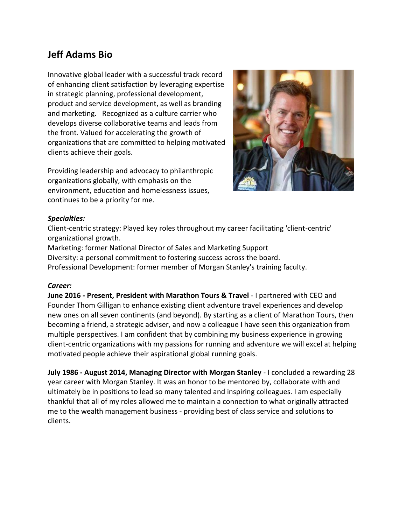# **Jeff Adams Bio**

Innovative global leader with a successful track record of enhancing client satisfaction by leveraging expertise in strategic planning, professional development, product and service development, as well as branding and marketing. Recognized as a culture carrier who develops diverse collaborative teams and leads from the front. Valued for accelerating the growth of organizations that are committed to helping motivated clients achieve their goals.

Providing leadership and advocacy to philanthropic organizations globally, with emphasis on the environment, education and homelessness issues, continues to be a priority for me.



## *Specialties:*

Client-centric strategy: Played key roles throughout my career facilitating 'client-centric' organizational growth.

Marketing: former National Director of Sales and Marketing Support Diversity: a personal commitment to fostering success across the board. Professional Development: former member of Morgan Stanley's training faculty.

## *Career:*

**June 2016 - Present, President with Marathon Tours & Travel** - I partnered with CEO and Founder Thom Gilligan to enhance existing client adventure travel experiences and develop new ones on all seven continents (and beyond). By starting as a client of Marathon Tours, then becoming a friend, a strategic adviser, and now a colleague I have seen this organization from multiple perspectives. I am confident that by combining my business experience in growing client-centric organizations with my passions for running and adventure we will excel at helping motivated people achieve their aspirational global running goals.

**July 1986 - August 2014, Managing Director with Morgan Stanley** - I concluded a rewarding 28 year career with Morgan Stanley. It was an honor to be mentored by, collaborate with and ultimately be in positions to lead so many talented and inspiring colleagues. I am especially thankful that all of my roles allowed me to maintain a connection to what originally attracted me to the wealth management business - providing best of class service and solutions to clients.